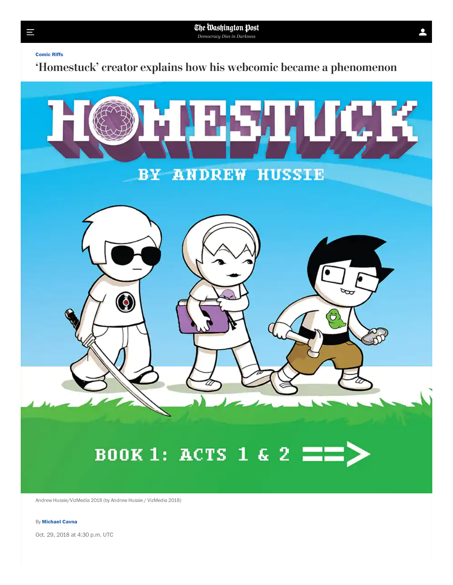**[Comic](https://www.washingtonpost.com/news/comic-riffs/) Riffs**

Ш

'Homestuck' creator explains how his webcomic became a phenomenon



Andrew Hussie/VizMedia 2018 (by Andrew Hussie / VizMedia 2018)

## By **[Michael](https://www.washingtonpost.com/people/michael-cavna/) Cavna**

Oct. 29, 2018 at 4:30 p.m. UTC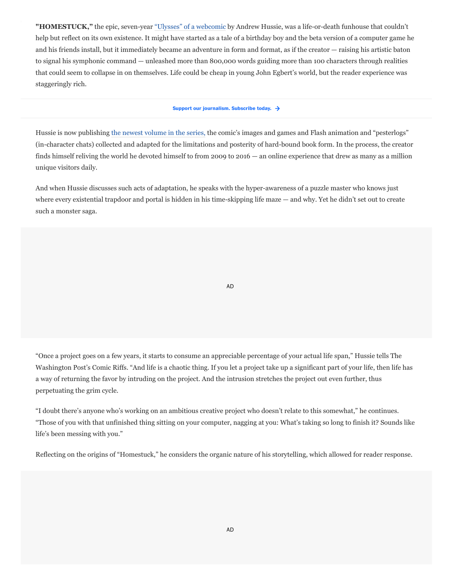**"HOMESTUCK,"** the epic, seven-year ["Ulysses" of a webcomic](https://www.youtube.com/watch?v=MLK7RI_HW-E) by Andrew Hussie, was a life-or-death funhouse that couldn't help but reflect on its own existence. It might have started as a tale of a birthday boy and the beta version of a computer game he and his friends install, but it immediately became an adventure in form and format, as if the creator — raising his artistic baton to signal his symphonic command — unleashed more than 800,000 words guiding more than 100 characters through realities that could seem to collapse in on themselves. Life could be cheap in young John Egbert's world, but the reader experience was staggeringly rich.

## **Support our [journalism.](https://subscribe.washingtonpost.com/acq/#/offers/promo/o24_ma) Subscribe today.**

Hussie is now publishing [the newest volume in the series](https://www.amazon.com/gp/product/1421599414?ie=UTF8&tag=washpost-20&camp=1789&linkCode=xm2&creativeASIN=1421599414)[,](https://www.amazon.com/Homestuck-Book-3-Act-4/dp/1421599414) the comic's images and games and Flash animation and "pesterlogs" (in-character chats) collected and adapted for the limitations and posterity of hard-bound book form. In the process, the creator finds himself reliving the world he devoted himself to from 2009 to 2016 — an online experience that drew as many as a million unique visitors daily.

And when Hussie discusses such acts of adaptation, he speaks with the hyper-awareness of a puzzle master who knows just where every existential trapdoor and portal is hidden in his time-skipping life maze — and why. Yet he didn't set out to create such a monster saga.

AD

"Once a project goes on a few years, it starts to consume an appreciable percentage of your actual life span," Hussie tells The Washington Post's Comic Riffs. "And life is a chaotic thing. If you let a project take up a significant part of your life, then life has a way of returning the favor by intruding on the project. And the intrusion stretches the project out even further, thus perpetuating the grim cycle.

"I doubt there's anyone who's working on an ambitious creative project who doesn't relate to this somewhat," he continues. "Those of you with that unfinished thing sitting on your computer, nagging at you: What's taking so long to finish it? Sounds like life's been messing with you."

Reflecting on the origins of "Homestuck," he considers the organic nature of his storytelling, which allowed for reader response.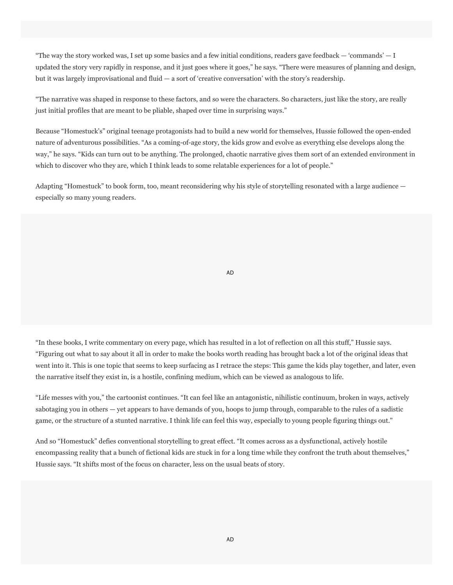"The way the story worked was, I set up some basics and a few initial conditions, readers gave feedback  $-$  'commands'  $-1$ updated the story very rapidly in response, and it just goes where it goes," he says. "There were measures of planning and design, but it was largely improvisational and fluid — a sort of 'creative conversation' with the story's readership.

"The narrative was shaped in response to these factors, and so were the characters. So characters, just like the story, are really just initial profiles that are meant to be pliable, shaped over time in surprising ways."

Because "Homestuck's" original teenage protagonists had to build a new world for themselves, Hussie followed the open-ended nature of adventurous possibilities. "As a coming-of-age story, the kids grow and evolve as everything else develops along the way," he says. "Kids can turn out to be anything. The prolonged, chaotic narrative gives them sort of an extended environment in which to discover who they are, which I think leads to some relatable experiences for a lot of people."

Adapting "Homestuck" to book form, too, meant reconsidering why his style of storytelling resonated with a large audience especially so many young readers.

AD

"In these books, I write commentary on every page, which has resulted in a lot of reflection on all this stuff," Hussie says. "Figuring out what to say about it all in order to make the books worth reading has brought back a lot of the original ideas that went into it. This is one topic that seems to keep surfacing as I retrace the steps: This game the kids play together, and later, even the narrative itself they exist in, is a hostile, confining medium, which can be viewed as analogous to life.

"Life messes with you," the cartoonist continues. "It can feel like an antagonistic, nihilistic continuum, broken in ways, actively sabotaging you in others — yet appears to have demands of you, hoops to jump through, comparable to the rules of a sadistic game, or the structure of a stunted narrative. I think life can feel this way, especially to young people figuring things out."

And so "Homestuck" defies conventional storytelling to great effect. "It comes across as a dysfunctional, actively hostile encompassing reality that a bunch of fictional kids are stuck in for a long time while they confront the truth about themselves," Hussie says. "It shifts most of the focus on character, less on the usual beats of story.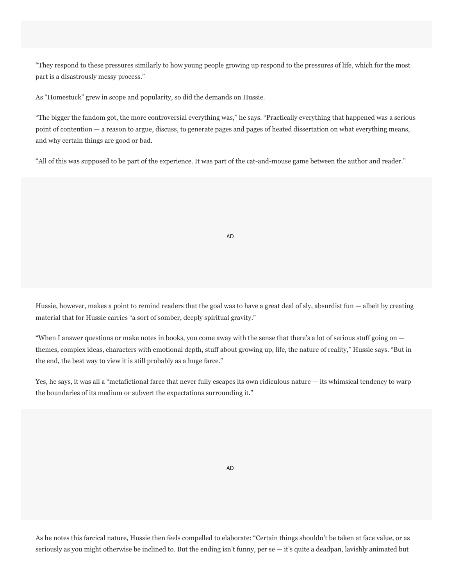"They respond to these pressures similarly to how young people growing up respond to the pressures of life, which for the most part is a disastrously messy process."

As "Homestuck" grew in scope and popularity, so did the demands on Hussie.

"The bigger the fandom got, the more controversial everything was," he says. "Practically everything that happened was a serious point of contention — a reason to argue, discuss, to generate pages and pages of heated dissertation on what everything means, and why certain things are good or bad.

"All of this was supposed to be part of the experience. It was part of the cat-and-mouse game between the author and reader."

AD

Hussie, however, makes a point to remind readers that the goal was to have a great deal of sly, absurdist fun — albeit by creating material that for Hussie carries "a sort of somber, deeply spiritual gravity."

"When I answer questions or make notes in books, you come away with the sense that there's a lot of serious stuff going on themes, complex ideas, characters with emotional depth, stuff about growing up, life, the nature of reality," Hussie says. "But in the end, the best way to view it is still probably as a huge farce."

Yes, he says, it was all a "metafictional farce that never fully escapes its own ridiculous nature — its whimsical tendency to warp the boundaries of its medium or subvert the expectations surrounding it."

AD

As he notes this farcical nature, Hussie then feels compelled to elaborate: "Certain things shouldn't be taken at face value, or as seriously as you might otherwise be inclined to. But the ending isn't funny, per se — it's quite a deadpan, lavishly animated but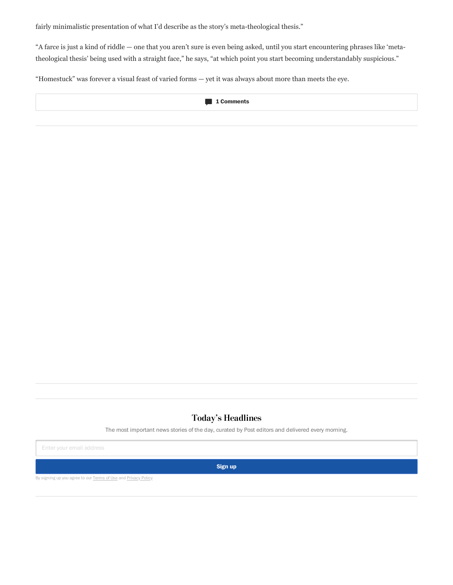fairly minimalistic presentation of what I'd describe as the story's meta-theological thesis."

"A farce is just a kind of riddle — one that you aren't sure is even being asked, until you start encountering phrases like 'metatheological thesis' being used with a straight face," he says, "at which point you start becoming understandably suspicious."

"Homestuck" was forever a visual feast of varied forms — yet it was always about more than meets the eye.



## Today's Headlines

The most important news stories of the day, curated by Post editors and delivered every morning.

Enter your email address

**Sign up**

By signing up you agree to our [Terms](https://www.washingtonpost.com/terms-of-service/2011/11/18/gIQAldiYiN_story.html) of Use and [Privacy](https://www.washingtonpost.com/privacy-policy/2011/11/18/gIQASIiaiN_story.html) Policy